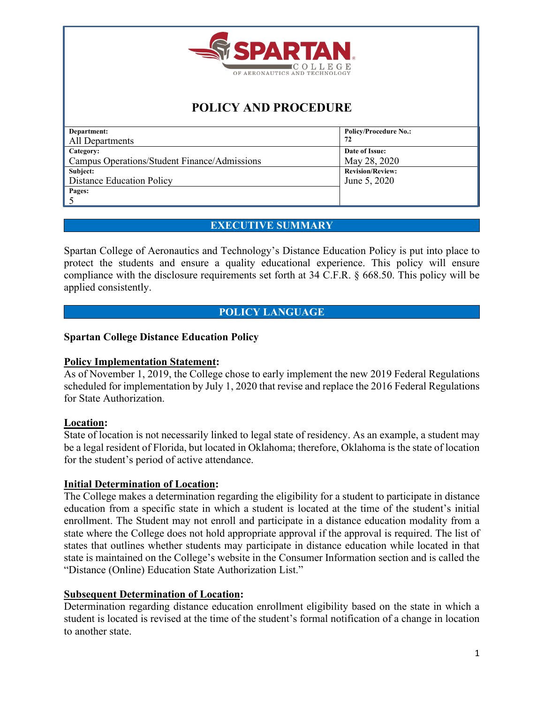

# **POLICY AND PROCEDURE**

| Department:                                  | <b>Policy/Procedure No.:</b> |
|----------------------------------------------|------------------------------|
| All Departments                              | 72                           |
| Category:                                    | Date of Issue:               |
| Campus Operations/Student Finance/Admissions | May 28, 2020                 |
| Subject:                                     | <b>Revision/Review:</b>      |
| <b>Distance Education Policy</b>             | June 5, 2020                 |
| Pages:                                       |                              |
|                                              |                              |

# **EXECUTIVE SUMMARY**

Spartan College of Aeronautics and Technology's Distance Education Policy is put into place to protect the students and ensure a quality educational experience. This policy will ensure compliance with the disclosure requirements set forth at 34 C.F.R. § 668.50. This policy will be applied consistently.

# **POLICY LANGUAGE**

#### **Spartan College Distance Education Policy**

#### **Policy Implementation Statement:**

As of November 1, 2019, the College chose to early implement the new 2019 Federal Regulations scheduled for implementation by July 1, 2020 that revise and replace the 2016 Federal Regulations for State Authorization.

# **Location:**

State of location is not necessarily linked to legal state of residency. As an example, a student may be a legal resident of Florida, but located in Oklahoma; therefore, Oklahoma is the state of location for the student's period of active attendance.

#### **Initial Determination of Location:**

The College makes a determination regarding the eligibility for a student to participate in distance education from a specific state in which a student is located at the time of the student's initial enrollment. The Student may not enroll and participate in a distance education modality from a state where the College does not hold appropriate approval if the approval is required. The list of states that outlines whether students may participate in distance education while located in that state is maintained on the College's website in the Consumer Information section and is called the "Distance (Online) Education State Authorization List."

# **Subsequent Determination of Location:**

Determination regarding distance education enrollment eligibility based on the state in which a student is located is revised at the time of the student's formal notification of a change in location to another state.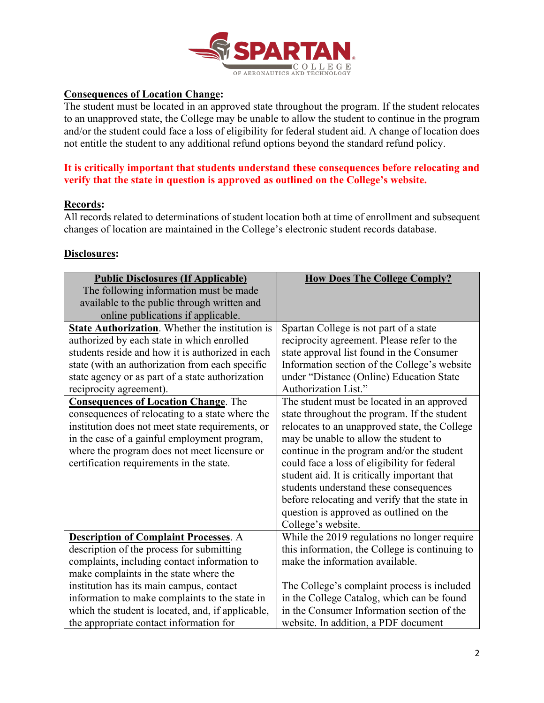

# **Consequences of Location Change:**

The student must be located in an approved state throughout the program. If the student relocates to an unapproved state, the College may be unable to allow the student to continue in the program and/or the student could face a loss of eligibility for federal student aid. A change of location does not entitle the student to any additional refund options beyond the standard refund policy.

### **It is critically important that students understand these consequences before relocating and verify that the state in question is approved as outlined on the College's website.**

# **Records:**

All records related to determinations of student location both at time of enrollment and subsequent changes of location are maintained in the College's electronic student records database.

#### **Disclosures:**

| <b>Public Disclosures (If Applicable)</b>         | <b>How Does The College Comply?</b>            |
|---------------------------------------------------|------------------------------------------------|
| The following information must be made            |                                                |
| available to the public through written and       |                                                |
| online publications if applicable.                |                                                |
| State Authorization. Whether the institution is   | Spartan College is not part of a state         |
| authorized by each state in which enrolled        | reciprocity agreement. Please refer to the     |
| students reside and how it is authorized in each  | state approval list found in the Consumer      |
| state (with an authorization from each specific   | Information section of the College's website   |
| state agency or as part of a state authorization  | under "Distance (Online) Education State       |
| reciprocity agreement).                           | Authorization List."                           |
| <b>Consequences of Location Change.</b> The       | The student must be located in an approved     |
| consequences of relocating to a state where the   | state throughout the program. If the student   |
| institution does not meet state requirements, or  | relocates to an unapproved state, the College  |
| in the case of a gainful employment program,      | may be unable to allow the student to          |
| where the program does not meet licensure or      | continue in the program and/or the student     |
| certification requirements in the state.          | could face a loss of eligibility for federal   |
|                                                   | student aid. It is critically important that   |
|                                                   | students understand these consequences         |
|                                                   | before relocating and verify that the state in |
|                                                   | question is approved as outlined on the        |
|                                                   | College's website.                             |
| <b>Description of Complaint Processes.</b> A      | While the 2019 regulations no longer require   |
| description of the process for submitting         | this information, the College is continuing to |
| complaints, including contact information to      | make the information available.                |
| make complaints in the state where the            |                                                |
| institution has its main campus, contact          | The College's complaint process is included    |
| information to make complaints to the state in    | in the College Catalog, which can be found     |
| which the student is located, and, if applicable, | in the Consumer Information section of the     |
| the appropriate contact information for           | website. In addition, a PDF document           |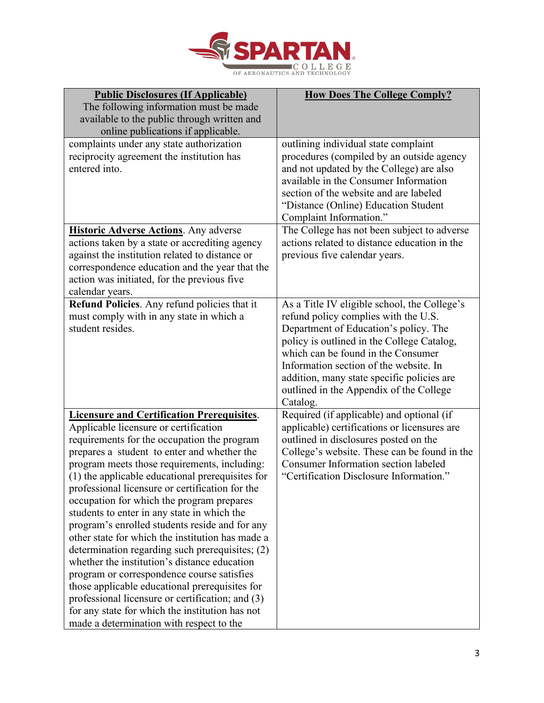

| <b>Public Disclosures (If Applicable)</b>                                                  | <b>How Does The College Comply?</b>                                             |
|--------------------------------------------------------------------------------------------|---------------------------------------------------------------------------------|
| The following information must be made                                                     |                                                                                 |
| available to the public through written and                                                |                                                                                 |
| online publications if applicable.                                                         |                                                                                 |
| complaints under any state authorization                                                   | outlining individual state complaint                                            |
| reciprocity agreement the institution has                                                  | procedures (compiled by an outside agency                                       |
| entered into.                                                                              | and not updated by the College) are also                                        |
|                                                                                            | available in the Consumer Information<br>section of the website and are labeled |
|                                                                                            |                                                                                 |
|                                                                                            | "Distance (Online) Education Student<br>Complaint Information."                 |
| <b>Historic Adverse Actions.</b> Any adverse                                               | The College has not been subject to adverse                                     |
| actions taken by a state or accrediting agency                                             | actions related to distance education in the                                    |
| against the institution related to distance or                                             | previous five calendar years.                                                   |
| correspondence education and the year that the                                             |                                                                                 |
| action was initiated, for the previous five                                                |                                                                                 |
| calendar years.                                                                            |                                                                                 |
| Refund Policies. Any refund policies that it                                               | As a Title IV eligible school, the College's                                    |
| must comply with in any state in which a                                                   | refund policy complies with the U.S.                                            |
| student resides.                                                                           | Department of Education's policy. The                                           |
|                                                                                            | policy is outlined in the College Catalog,                                      |
|                                                                                            | which can be found in the Consumer                                              |
|                                                                                            | Information section of the website. In                                          |
|                                                                                            | addition, many state specific policies are                                      |
|                                                                                            | outlined in the Appendix of the College<br>Catalog.                             |
| <b>Licensure and Certification Prerequisites.</b>                                          | Required (if applicable) and optional (if                                       |
| Applicable licensure or certification                                                      | applicable) certifications or licensures are                                    |
| requirements for the occupation the program                                                | outlined in disclosures posted on the                                           |
| prepares a student to enter and whether the                                                | College's website. These can be found in the                                    |
| program meets those requirements, including:                                               | <b>Consumer Information section labeled</b>                                     |
| (1) the applicable educational prerequisites for                                           | "Certification Disclosure Information."                                         |
| professional licensure or certification for the                                            |                                                                                 |
| occupation for which the program prepares                                                  |                                                                                 |
| students to enter in any state in which the                                                |                                                                                 |
| program's enrolled students reside and for any                                             |                                                                                 |
| other state for which the institution has made a                                           |                                                                                 |
| determination regarding such prerequisites; (2)                                            |                                                                                 |
| whether the institution's distance education<br>program or correspondence course satisfies |                                                                                 |
| those applicable educational prerequisites for                                             |                                                                                 |
| professional licensure or certification; and (3)                                           |                                                                                 |
| for any state for which the institution has not                                            |                                                                                 |
| made a determination with respect to the                                                   |                                                                                 |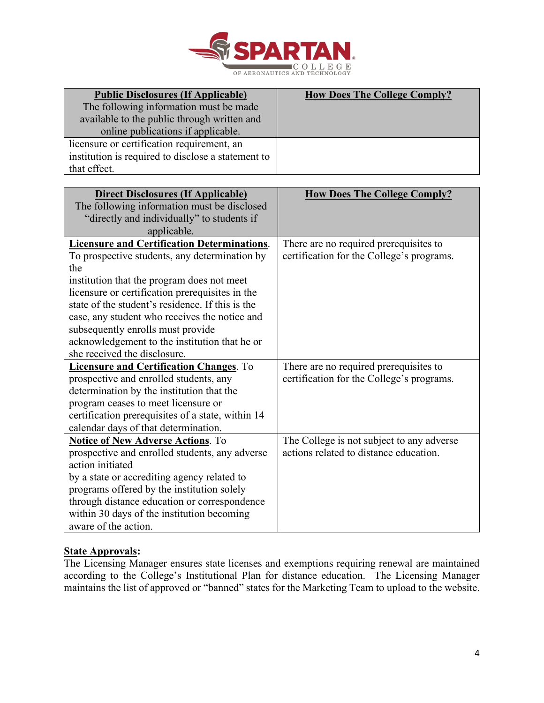

| <b>Public Disclosures (If Applicable)</b>          | <b>How Does The College Comply?</b> |
|----------------------------------------------------|-------------------------------------|
| The following information must be made             |                                     |
| available to the public through written and        |                                     |
| online publications if applicable.                 |                                     |
| licensure or certification requirement, an         |                                     |
| institution is required to disclose a statement to |                                     |
| that effect.                                       |                                     |

| <b>Direct Disclosures (If Applicable)</b><br>The following information must be disclosed<br>"directly and individually" to students if | <b>How Does The College Comply?</b>       |
|----------------------------------------------------------------------------------------------------------------------------------------|-------------------------------------------|
| applicable.                                                                                                                            |                                           |
| <b>Licensure and Certification Determinations.</b>                                                                                     | There are no required prerequisites to    |
| To prospective students, any determination by                                                                                          | certification for the College's programs. |
| the                                                                                                                                    |                                           |
| institution that the program does not meet                                                                                             |                                           |
| licensure or certification prerequisites in the                                                                                        |                                           |
| state of the student's residence. If this is the                                                                                       |                                           |
| case, any student who receives the notice and                                                                                          |                                           |
| subsequently enrolls must provide                                                                                                      |                                           |
| acknowledgement to the institution that he or                                                                                          |                                           |
| she received the disclosure.                                                                                                           |                                           |
| <b>Licensure and Certification Changes.</b> To                                                                                         | There are no required prerequisites to    |
| prospective and enrolled students, any                                                                                                 | certification for the College's programs. |
| determination by the institution that the                                                                                              |                                           |
| program ceases to meet licensure or                                                                                                    |                                           |
| certification prerequisites of a state, within 14                                                                                      |                                           |
| calendar days of that determination.                                                                                                   |                                           |
| <b>Notice of New Adverse Actions. To</b>                                                                                               | The College is not subject to any adverse |
| prospective and enrolled students, any adverse                                                                                         | actions related to distance education.    |
| action initiated                                                                                                                       |                                           |
| by a state or accrediting agency related to                                                                                            |                                           |
| programs offered by the institution solely                                                                                             |                                           |
| through distance education or correspondence                                                                                           |                                           |
| within 30 days of the institution becoming                                                                                             |                                           |
| aware of the action.                                                                                                                   |                                           |

# **State Approvals:**

The Licensing Manager ensures state licenses and exemptions requiring renewal are maintained according to the College's Institutional Plan for distance education. The Licensing Manager maintains the list of approved or "banned" states for the Marketing Team to upload to the website.